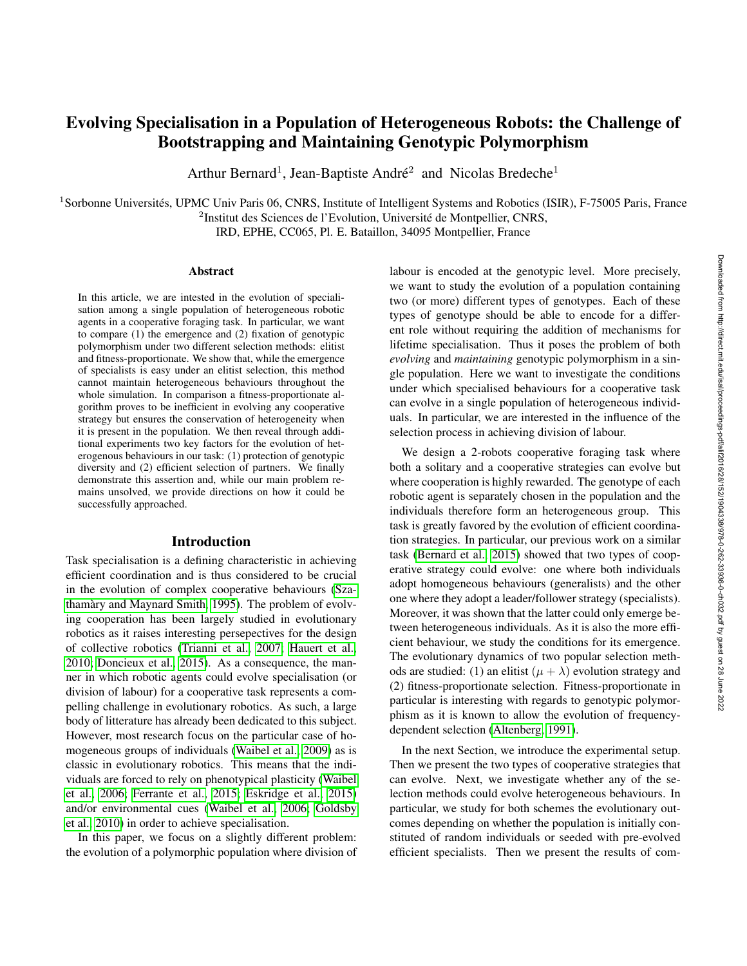# Evolving Specialisation in a Population of Heterogeneous Robots: the Challenge of Bootstrapping and Maintaining Genotypic Polymorphism

Arthur Bernard<sup>1</sup>, Jean-Baptiste André<sup>2</sup> and Nicolas Bredeche<sup>1</sup>

 $1$ Sorbonne Universités, UPMC Univ Paris 06, CNRS, Institute of Intelligent Systems and Robotics (ISIR), F-75005 Paris, France <sup>2</sup>Institut des Sciences de l'Evolution, Université de Montpellier, CNRS,

IRD, EPHE, CC065, Pl. E. Bataillon, 34095 Montpellier, France

#### Abstract

In this article, we are intested in the evolution of specialisation among a single population of heterogeneous robotic agents in a cooperative foraging task. In particular, we want to compare (1) the emergence and (2) fixation of genotypic polymorphism under two different selection methods: elitist and fitness-proportionate. We show that, while the emergence of specialists is easy under an elitist selection, this method cannot maintain heterogeneous behaviours throughout the whole simulation. In comparison a fitness-proportionate algorithm proves to be inefficient in evolving any cooperative strategy but ensures the conservation of heterogeneity when it is present in the population. We then reveal through additional experiments two key factors for the evolution of heterogenous behaviours in our task: (1) protection of genotypic diversity and (2) efficient selection of partners. We finally demonstrate this assertion and, while our main problem remains unsolved, we provide directions on how it could be successfully approached.

#### Introduction

Task specialisation is a defining characteristic in achieving efficient coordination and is thus considered to be crucial in the evolution of complex cooperative behaviours [\(Sza](#page-7-0)[thamary and Maynard Smith, 1995\)](#page-7-0). The problem of evolv- ` ing cooperation has been largely studied in evolutionary robotics as it raises interesting persepectives for the design of collective robotics [\(Trianni et al., 2007;](#page-7-1) [Hauert et al.,](#page-7-2) [2010;](#page-7-2) [Doncieux et al., 2015\)](#page-7-3). As a consequence, the manner in which robotic agents could evolve specialisation (or division of labour) for a cooperative task represents a compelling challenge in evolutionary robotics. As such, a large body of litterature has already been dedicated to this subject. However, most research focus on the particular case of homogeneous groups of individuals [\(Waibel et al., 2009\)](#page-7-4) as is classic in evolutionary robotics. This means that the individuals are forced to rely on phenotypical plasticity [\(Waibel](#page-7-5) [et al., 2006;](#page-7-5) [Ferrante et al., 2015;](#page-7-6) [Eskridge et al., 2015\)](#page-7-7) and/or environmental cues [\(Waibel et al., 2006;](#page-7-5) [Goldsby](#page-7-8) [et al., 2010\)](#page-7-8) in order to achieve specialisation.

In this paper, we focus on a slightly different problem: the evolution of a polymorphic population where division of labour is encoded at the genotypic level. More precisely, we want to study the evolution of a population containing two (or more) different types of genotypes. Each of these types of genotype should be able to encode for a different role without requiring the addition of mechanisms for lifetime specialisation. Thus it poses the problem of both *evolving* and *maintaining* genotypic polymorphism in a single population. Here we want to investigate the conditions under which specialised behaviours for a cooperative task can evolve in a single population of heterogeneous individuals. In particular, we are interested in the influence of the selection process in achieving division of labour.

We design a 2-robots cooperative foraging task where both a solitary and a cooperative strategies can evolve but where cooperation is highly rewarded. The genotype of each robotic agent is separately chosen in the population and the individuals therefore form an heterogeneous group. This task is greatly favored by the evolution of efficient coordination strategies. In particular, our previous work on a similar task [\(Bernard et al., 2015\)](#page-7-9) showed that two types of cooperative strategy could evolve: one where both individuals adopt homogeneous behaviours (generalists) and the other one where they adopt a leader/follower strategy (specialists). Moreover, it was shown that the latter could only emerge between heterogeneous individuals. As it is also the more efficient behaviour, we study the conditions for its emergence. The evolutionary dynamics of two popular selection methods are studied: (1) an elitist  $(\mu + \lambda)$  evolution strategy and (2) fitness-proportionate selection. Fitness-proportionate in particular is interesting with regards to genotypic polymorphism as it is known to allow the evolution of frequencydependent selection [\(Altenberg, 1991\)](#page-7-10).

In the next Section, we introduce the experimental setup. Then we present the two types of cooperative strategies that can evolve. Next, we investigate whether any of the selection methods could evolve heterogeneous behaviours. In particular, we study for both schemes the evolutionary outcomes depending on whether the population is initially constituted of random individuals or seeded with pre-evolved efficient specialists. Then we present the results of com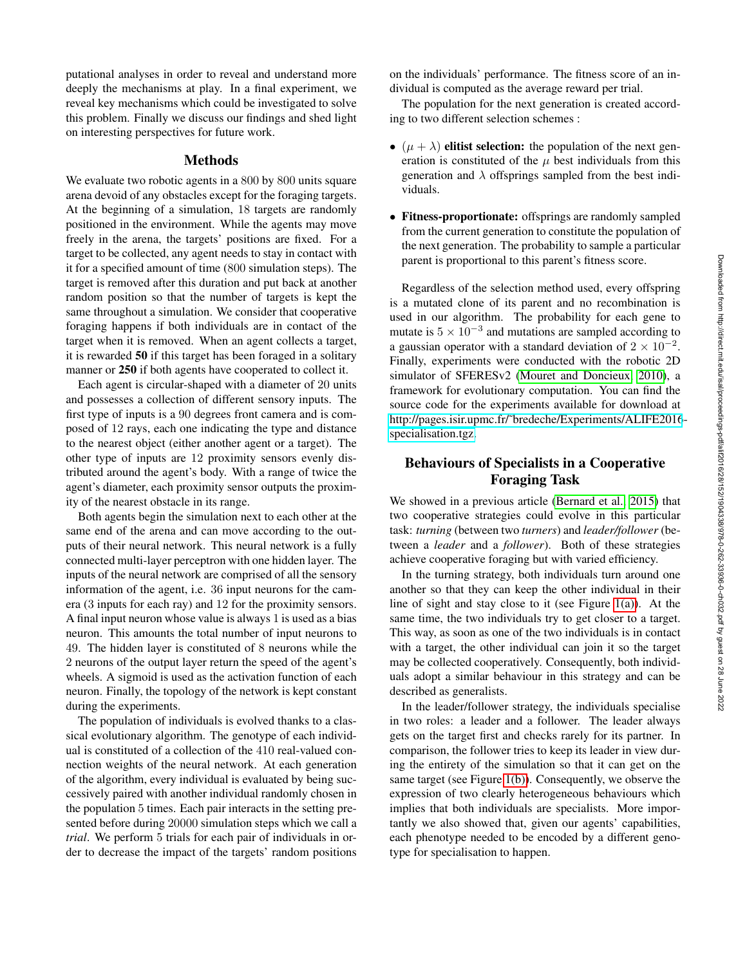putational analyses in order to reveal and understand more deeply the mechanisms at play. In a final experiment, we reveal key mechanisms which could be investigated to solve this problem. Finally we discuss our findings and shed light on interesting perspectives for future work.

#### Methods

We evaluate two robotic agents in a 800 by 800 units square arena devoid of any obstacles except for the foraging targets. At the beginning of a simulation, 18 targets are randomly positioned in the environment. While the agents may move freely in the arena, the targets' positions are fixed. For a target to be collected, any agent needs to stay in contact with it for a specified amount of time (800 simulation steps). The target is removed after this duration and put back at another random position so that the number of targets is kept the same throughout a simulation. We consider that cooperative foraging happens if both individuals are in contact of the target when it is removed. When an agent collects a target, it is rewarded 50 if this target has been foraged in a solitary manner or 250 if both agents have cooperated to collect it.

Each agent is circular-shaped with a diameter of 20 units and possesses a collection of different sensory inputs. The first type of inputs is a 90 degrees front camera and is composed of 12 rays, each one indicating the type and distance to the nearest object (either another agent or a target). The other type of inputs are 12 proximity sensors evenly distributed around the agent's body. With a range of twice the agent's diameter, each proximity sensor outputs the proximity of the nearest obstacle in its range.

Both agents begin the simulation next to each other at the same end of the arena and can move according to the outputs of their neural network. This neural network is a fully connected multi-layer perceptron with one hidden layer. The inputs of the neural network are comprised of all the sensory information of the agent, i.e. 36 input neurons for the camera (3 inputs for each ray) and 12 for the proximity sensors. A final input neuron whose value is always 1 is used as a bias neuron. This amounts the total number of input neurons to 49. The hidden layer is constituted of 8 neurons while the 2 neurons of the output layer return the speed of the agent's wheels. A sigmoid is used as the activation function of each neuron. Finally, the topology of the network is kept constant during the experiments.

The population of individuals is evolved thanks to a classical evolutionary algorithm. The genotype of each individual is constituted of a collection of the 410 real-valued connection weights of the neural network. At each generation of the algorithm, every individual is evaluated by being successively paired with another individual randomly chosen in the population 5 times. Each pair interacts in the setting presented before during 20000 simulation steps which we call a *trial*. We perform 5 trials for each pair of individuals in order to decrease the impact of the targets' random positions

on the individuals' performance. The fitness score of an individual is computed as the average reward per trial.

The population for the next generation is created according to two different selection schemes :

- $(\mu + \lambda)$  elitist selection: the population of the next generation is constituted of the  $\mu$  best individuals from this generation and  $\lambda$  offsprings sampled from the best individuals.
- Fitness-proportionate: offsprings are randomly sampled from the current generation to constitute the population of the next generation. The probability to sample a particular parent is proportional to this parent's fitness score.

Regardless of the selection method used, every offspring is a mutated clone of its parent and no recombination is used in our algorithm. The probability for each gene to mutate is  $5 \times 10^{-3}$  and mutations are sampled according to a gaussian operator with a standard deviation of  $2 \times 10^{-2}$ . Finally, experiments were conducted with the robotic 2D simulator of SFERESv2 [\(Mouret and Doncieux, 2010\)](#page-7-11), a framework for evolutionary computation. You can find the source code for the experiments available for download at [http://pages.isir.upmc.fr/˜bredeche/Experiments/ALIFE2016](http://pages.isir.upmc.fr/~bredeche/Experiments/ALIFE2016-specialisation.tgz) [specialisation.tgz.](http://pages.isir.upmc.fr/~bredeche/Experiments/ALIFE2016-specialisation.tgz)

# Behaviours of Specialists in a Cooperative Foraging Task

We showed in a previous article [\(Bernard et al., 2015\)](#page-7-9) that two cooperative strategies could evolve in this particular task: *turning* (between two *turners*) and *leader/follower* (between a *leader* and a *follower*). Both of these strategies achieve cooperative foraging but with varied efficiency.

In the turning strategy, both individuals turn around one another so that they can keep the other individual in their line of sight and stay close to it (see Figure [1\(a\)\)](#page-2-0). At the same time, the two individuals try to get closer to a target. This way, as soon as one of the two individuals is in contact with a target, the other individual can join it so the target may be collected cooperatively. Consequently, both individuals adopt a similar behaviour in this strategy and can be described as generalists.

In the leader/follower strategy, the individuals specialise in two roles: a leader and a follower. The leader always gets on the target first and checks rarely for its partner. In comparison, the follower tries to keep its leader in view during the entirety of the simulation so that it can get on the same target (see Figure [1\(b\)\)](#page-2-1). Consequently, we observe the expression of two clearly heterogeneous behaviours which implies that both individuals are specialists. More importantly we also showed that, given our agents' capabilities, each phenotype needed to be encoded by a different genotype for specialisation to happen.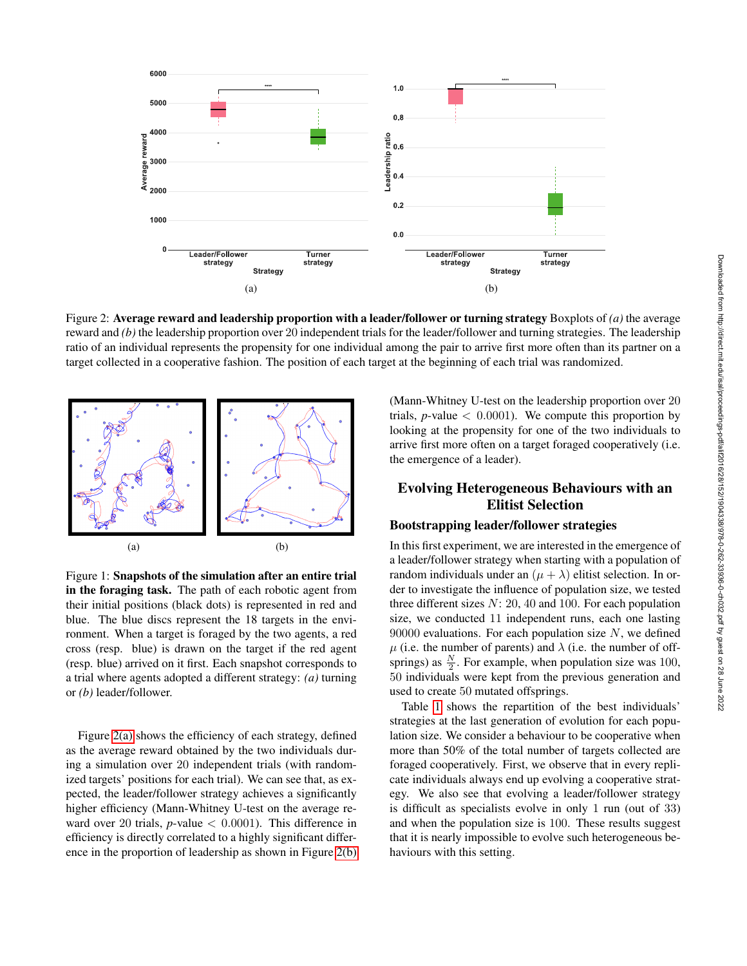<span id="page-2-2"></span>

Figure 2: Average reward and leadership proportion with a leader/follower or turning strategy Boxplots of *(a)* the average reward and *(b)* the leadership proportion over 20 independent trials for the leader/follower and turning strategies. The leadership ratio of an individual represents the propensity for one individual among the pair to arrive first more often than its partner on a target collected in a cooperative fashion. The position of each target at the beginning of each trial was randomized.

<span id="page-2-0"></span>

<span id="page-2-1"></span>Figure 1: Snapshots of the simulation after an entire trial in the foraging task. The path of each robotic agent from their initial positions (black dots) is represented in red and blue. The blue discs represent the 18 targets in the environment. When a target is foraged by the two agents, a red cross (resp. blue) is drawn on the target if the red agent (resp. blue) arrived on it first. Each snapshot corresponds to a trial where agents adopted a different strategy: *(a)* turning or *(b)* leader/follower.

Figure [2\(a\)](#page-2-2) shows the efficiency of each strategy, defined as the average reward obtained by the two individuals during a simulation over 20 independent trials (with randomized targets' positions for each trial). We can see that, as expected, the leader/follower strategy achieves a significantly higher efficiency (Mann-Whitney U-test on the average reward over 20 trials,  $p$ -value  $\lt$  0.0001). This difference in efficiency is directly correlated to a highly significant difference in the proportion of leadership as shown in Figure [2\(b\)](#page-2-3)

<span id="page-2-3"></span>(Mann-Whitney U-test on the leadership proportion over 20 trials,  $p$ -value  $\lt$  0.0001). We compute this proportion by looking at the propensity for one of the two individuals to arrive first more often on a target foraged cooperatively (i.e. the emergence of a leader).

# Evolving Heterogeneous Behaviours with an Elitist Selection

#### Bootstrapping leader/follower strategies

In this first experiment, we are interested in the emergence of a leader/follower strategy when starting with a population of random individuals under an  $(\mu + \lambda)$  elitist selection. In order to investigate the influence of population size, we tested three different sizes  $N: 20, 40$  and 100. For each population size, we conducted 11 independent runs, each one lasting 90000 evaluations. For each population size  $N$ , we defined  $\mu$  (i.e. the number of parents) and  $\lambda$  (i.e. the number of offsprings) as  $\frac{N}{2}$ . For example, when population size was 100, 50 individuals were kept from the previous generation and used to create 50 mutated offsprings.

Table [1](#page-3-0) shows the repartition of the best individuals' strategies at the last generation of evolution for each population size. We consider a behaviour to be cooperative when more than 50% of the total number of targets collected are foraged cooperatively. First, we observe that in every replicate individuals always end up evolving a cooperative strategy. We also see that evolving a leader/follower strategy is difficult as specialists evolve in only 1 run (out of 33) and when the population size is 100. These results suggest that it is nearly impossible to evolve such heterogeneous behaviours with this setting.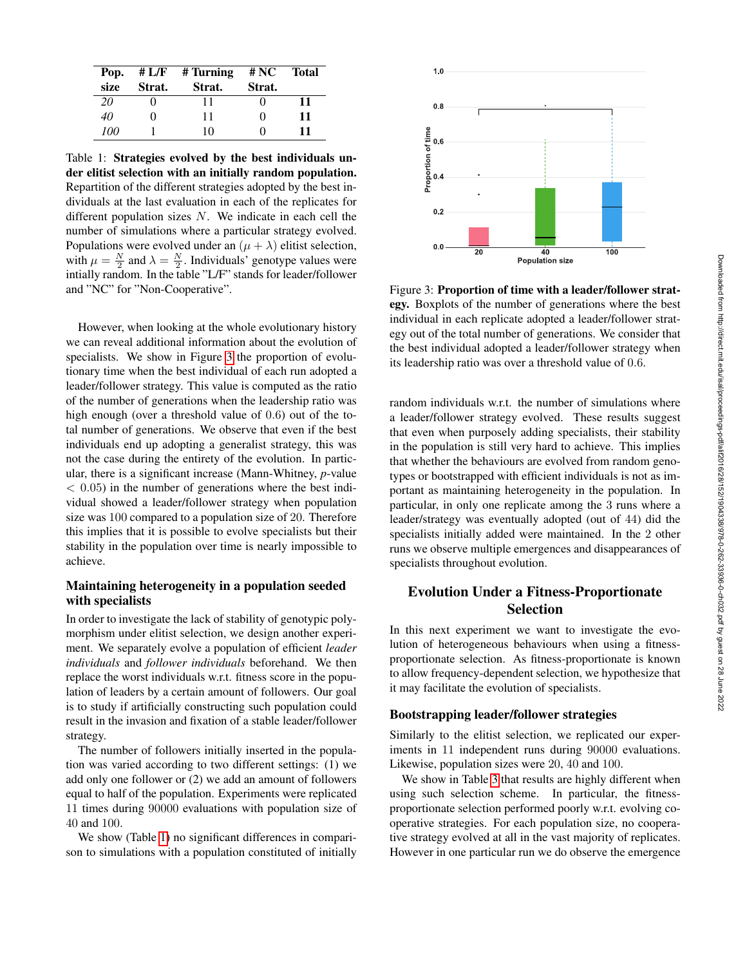| Pop. | # L/F  | # Turning | # NC              | <b>Total</b> |
|------|--------|-----------|-------------------|--------------|
| size | Strat. | Strat.    | Strat.            |              |
| 20   |        | 11        |                   | 11           |
| 40   | 0      | 11        | $\theta$          | 11           |
| 100  |        | 10        | $\mathbf{\Omega}$ | 11           |

<span id="page-3-0"></span>Table 1: Strategies evolved by the best individuals under elitist selection with an initially random population. Repartition of the different strategies adopted by the best individuals at the last evaluation in each of the replicates for different population sizes  $N$ . We indicate in each cell the number of simulations where a particular strategy evolved. Populations were evolved under an  $(\mu + \lambda)$  elitist selection, with  $\mu = \frac{N}{2}$  and  $\lambda = \frac{N}{2}$ . Individuals' genotype values were intially random. In the table "L/F" stands for leader/follower and "NC" for "Non-Cooperative".

However, when looking at the whole evolutionary history we can reveal additional information about the evolution of specialists. We show in Figure [3](#page-3-1) the proportion of evolutionary time when the best individual of each run adopted a leader/follower strategy. This value is computed as the ratio of the number of generations when the leadership ratio was high enough (over a threshold value of 0.6) out of the total number of generations. We observe that even if the best individuals end up adopting a generalist strategy, this was not the case during the entirety of the evolution. In particular, there is a significant increase (Mann-Whitney, *p*-value  $< 0.05$ ) in the number of generations where the best individual showed a leader/follower strategy when population size was 100 compared to a population size of 20. Therefore this implies that it is possible to evolve specialists but their stability in the population over time is nearly impossible to achieve.

### Maintaining heterogeneity in a population seeded with specialists

In order to investigate the lack of stability of genotypic polymorphism under elitist selection, we design another experiment. We separately evolve a population of efficient *leader individuals* and *follower individuals* beforehand. We then replace the worst individuals w.r.t. fitness score in the population of leaders by a certain amount of followers. Our goal is to study if artificially constructing such population could result in the invasion and fixation of a stable leader/follower strategy.

The number of followers initially inserted in the population was varied according to two different settings: (1) we add only one follower or (2) we add an amount of followers equal to half of the population. Experiments were replicated 11 times during 90000 evaluations with population size of 40 and 100.

We show (Table [1\)](#page-3-0) no significant differences in comparison to simulations with a population constituted of initially



<span id="page-3-1"></span>Figure 3: Proportion of time with a leader/follower strategy. Boxplots of the number of generations where the best individual in each replicate adopted a leader/follower strategy out of the total number of generations. We consider that the best individual adopted a leader/follower strategy when its leadership ratio was over a threshold value of 0.6.

random individuals w.r.t. the number of simulations where a leader/follower strategy evolved. These results suggest that even when purposely adding specialists, their stability in the population is still very hard to achieve. This implies that whether the behaviours are evolved from random genotypes or bootstrapped with efficient individuals is not as important as maintaining heterogeneity in the population. In particular, in only one replicate among the 3 runs where a leader/strategy was eventually adopted (out of 44) did the specialists initially added were maintained. In the 2 other runs we observe multiple emergences and disappearances of specialists throughout evolution.

# Evolution Under a Fitness-Proportionate Selection

In this next experiment we want to investigate the evolution of heterogeneous behaviours when using a fitnessproportionate selection. As fitness-proportionate is known to allow frequency-dependent selection, we hypothesize that it may facilitate the evolution of specialists.

#### Bootstrapping leader/follower strategies

Similarly to the elitist selection, we replicated our experiments in 11 independent runs during 90000 evaluations. Likewise, population sizes were 20, 40 and 100.

We show in Table [3](#page-4-0) that results are highly different when using such selection scheme. In particular, the fitnessproportionate selection performed poorly w.r.t. evolving cooperative strategies. For each population size, no cooperative strategy evolved at all in the vast majority of replicates. However in one particular run we do observe the emergence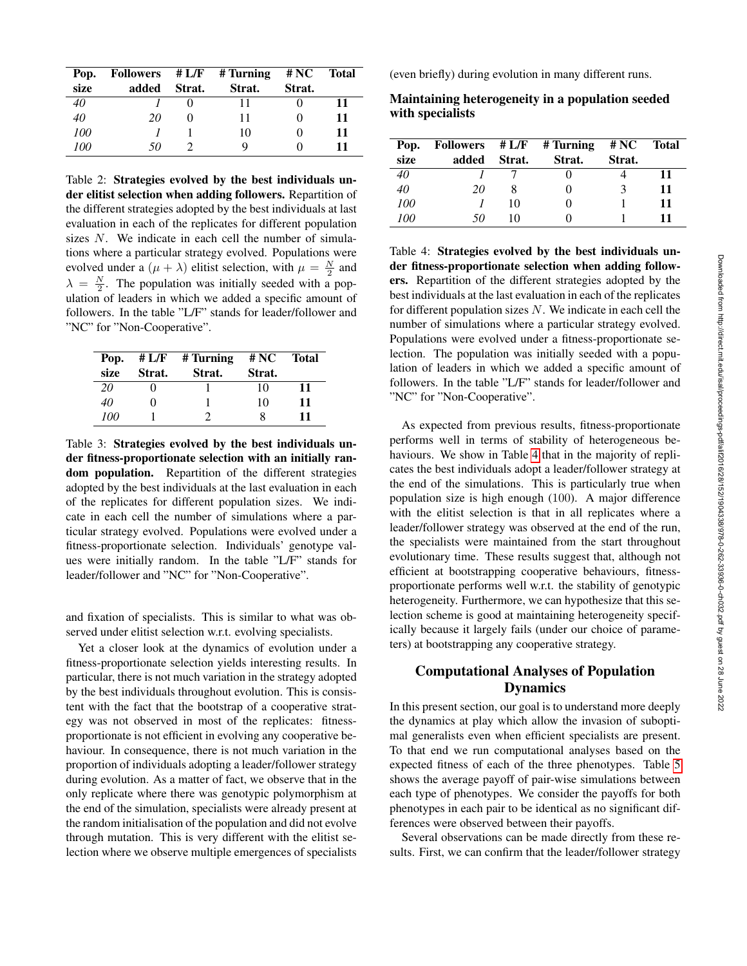| Pop. |       |        | Followers $\# L/F$ $\#$ Turning $\# NC$ |        | <b>Total</b> |
|------|-------|--------|-----------------------------------------|--------|--------------|
| size | added | Strat. | Strat.                                  | Strat. |              |
| 40   |       |        | 11                                      |        | 11           |
| 40   | 20    |        | 11                                      |        | 11           |
| 100  |       |        | 10                                      |        | 11           |
| 100  | 50    |        | Q                                       |        | 11           |

Table 2: Strategies evolved by the best individuals under elitist selection when adding followers. Repartition of the different strategies adopted by the best individuals at last evaluation in each of the replicates for different population sizes N. We indicate in each cell the number of simulations where a particular strategy evolved. Populations were evolved under a  $(\mu + \lambda)$  elitist selection, with  $\mu = \frac{N}{2}$  and  $\lambda = \frac{N}{2}$ . The population was initially seeded with a population of leaders in which we added a specific amount of followers. In the table "L/F" stands for leader/follower and "NC" for "Non-Cooperative".

| Pop.<br>size | Strat.   | $# L/F$ # Turning<br>Strat. | # NC<br>Strat. | <b>Total</b> |
|--------------|----------|-----------------------------|----------------|--------------|
| 20           |          |                             | 10             | 11           |
| 40           | $\Omega$ |                             | 10             | 11           |
| 100          |          |                             | 8              | 11           |

<span id="page-4-0"></span>Table 3: Strategies evolved by the best individuals under fitness-proportionate selection with an initially random population. Repartition of the different strategies adopted by the best individuals at the last evaluation in each of the replicates for different population sizes. We indicate in each cell the number of simulations where a particular strategy evolved. Populations were evolved under a fitness-proportionate selection. Individuals' genotype values were initially random. In the table "L/F" stands for leader/follower and "NC" for "Non-Cooperative".

and fixation of specialists. This is similar to what was observed under elitist selection w.r.t. evolving specialists.

Yet a closer look at the dynamics of evolution under a fitness-proportionate selection yields interesting results. In particular, there is not much variation in the strategy adopted by the best individuals throughout evolution. This is consistent with the fact that the bootstrap of a cooperative strategy was not observed in most of the replicates: fitnessproportionate is not efficient in evolving any cooperative behaviour. In consequence, there is not much variation in the proportion of individuals adopting a leader/follower strategy during evolution. As a matter of fact, we observe that in the only replicate where there was genotypic polymorphism at the end of the simulation, specialists were already present at the random initialisation of the population and did not evolve through mutation. This is very different with the elitist selection where we observe multiple emergences of specialists

(even briefly) during evolution in many different runs.

Maintaining heterogeneity in a population seeded with specialists

| Pop. |       |        | Followers $\# L/F$ $\#$ Turning | # NC         | Total |
|------|-------|--------|---------------------------------|--------------|-------|
| size | added | Strat. | Strat.                          | Strat.       |       |
| 40   |       |        |                                 |              | 11    |
| 40   | 20    |        |                                 | $\mathbf{R}$ | 11    |
| 100  |       | 10     |                                 |              | 11    |
| 100  | 50    | 10     |                                 |              | 11    |

<span id="page-4-1"></span>Table 4: Strategies evolved by the best individuals under fitness-proportionate selection when adding followers. Repartition of the different strategies adopted by the best individuals at the last evaluation in each of the replicates for different population sizes  $N$ . We indicate in each cell the number of simulations where a particular strategy evolved. Populations were evolved under a fitness-proportionate selection. The population was initially seeded with a population of leaders in which we added a specific amount of followers. In the table "L/F" stands for leader/follower and "NC" for "Non-Cooperative".

As expected from previous results, fitness-proportionate performs well in terms of stability of heterogeneous be-haviours. We show in Table [4](#page-4-1) that in the majority of replicates the best individuals adopt a leader/follower strategy at the end of the simulations. This is particularly true when population size is high enough (100). A major difference with the elitist selection is that in all replicates where a leader/follower strategy was observed at the end of the run, the specialists were maintained from the start throughout evolutionary time. These results suggest that, although not efficient at bootstrapping cooperative behaviours, fitnessproportionate performs well w.r.t. the stability of genotypic heterogeneity. Furthermore, we can hypothesize that this selection scheme is good at maintaining heterogeneity specifically because it largely fails (under our choice of parameters) at bootstrapping any cooperative strategy.

# Computational Analyses of Population Dynamics

In this present section, our goal is to understand more deeply the dynamics at play which allow the invasion of suboptimal generalists even when efficient specialists are present. To that end we run computational analyses based on the expected fitness of each of the three phenotypes. Table [5](#page-5-0) shows the average payoff of pair-wise simulations between each type of phenotypes. We consider the payoffs for both phenotypes in each pair to be identical as no significant differences were observed between their payoffs.

Several observations can be made directly from these results. First, we can confirm that the leader/follower strategy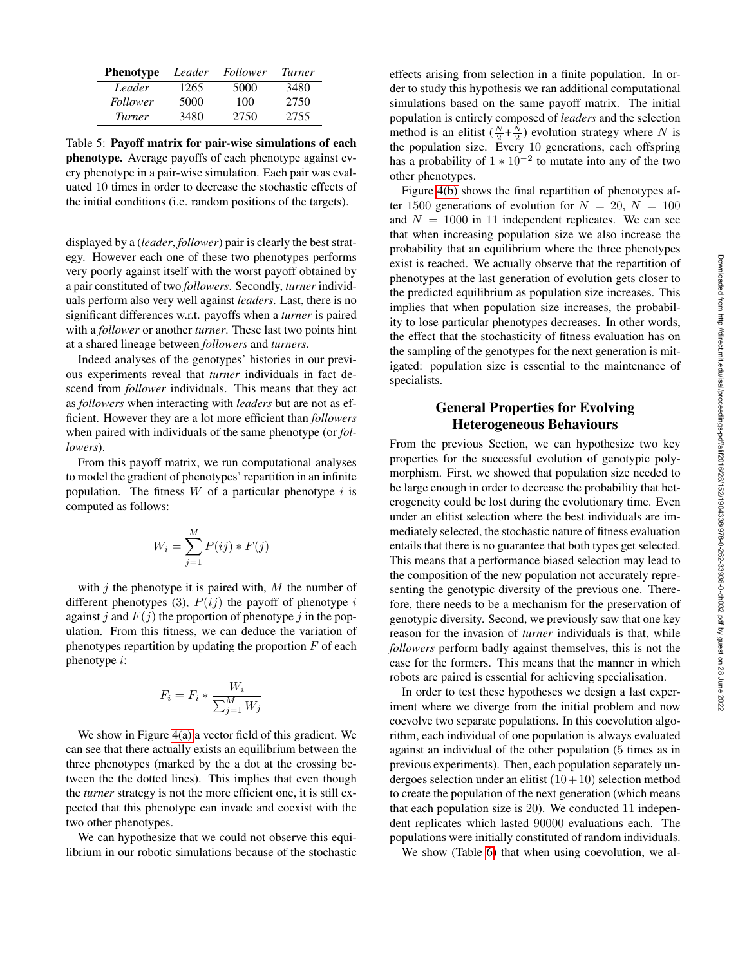| <b>Phenotype</b> | Leader | Follower | Turner |
|------------------|--------|----------|--------|
| Leader           | 1265   | 5000     | 3480   |
| <i>Follower</i>  | 5000   | 100      | 2750   |
| Turner           | 3480   | 2750     | 2755   |

<span id="page-5-0"></span>Table 5: Payoff matrix for pair-wise simulations of each phenotype. Average payoffs of each phenotype against every phenotype in a pair-wise simulation. Each pair was evaluated 10 times in order to decrease the stochastic effects of the initial conditions (i.e. random positions of the targets).

displayed by a (*leader*, *follower*) pair is clearly the best strategy. However each one of these two phenotypes performs very poorly against itself with the worst payoff obtained by a pair constituted of two *followers*. Secondly, *turner* individuals perform also very well against *leaders*. Last, there is no significant differences w.r.t. payoffs when a *turner* is paired with a *follower* or another *turner*. These last two points hint at a shared lineage between *followers* and *turners*.

Indeed analyses of the genotypes' histories in our previous experiments reveal that *turner* individuals in fact descend from *follower* individuals. This means that they act as *followers* when interacting with *leaders* but are not as efficient. However they are a lot more efficient than *followers* when paired with individuals of the same phenotype (or *followers*).

From this payoff matrix, we run computational analyses to model the gradient of phenotypes' repartition in an infinite population. The fitness  $W$  of a particular phenotype i is computed as follows:

$$
W_i = \sum_{j=1}^{M} P(ij) * F(j)
$$

with  $j$  the phenotype it is paired with,  $M$  the number of different phenotypes (3),  $P(ij)$  the payoff of phenotype i against j and  $F(j)$  the proportion of phenotype j in the population. From this fitness, we can deduce the variation of phenotypes repartition by updating the proportion  $F$  of each phenotype i:

$$
F_i = F_i * \frac{W_i}{\sum_{j=1}^{M} W_j}
$$

We show in Figure [4\(a\)](#page-6-0) a vector field of this gradient. We can see that there actually exists an equilibrium between the three phenotypes (marked by the a dot at the crossing between the the dotted lines). This implies that even though the *turner* strategy is not the more efficient one, it is still expected that this phenotype can invade and coexist with the two other phenotypes.

We can hypothesize that we could not observe this equilibrium in our robotic simulations because of the stochastic effects arising from selection in a finite population. In order to study this hypothesis we ran additional computational simulations based on the same payoff matrix. The initial population is entirely composed of *leaders* and the selection method is an elitist  $(\frac{N}{2} + \frac{N}{2})$  evolution strategy where N is the population size. Every 10 generations, each offspring has a probability of  $1 \times 10^{-2}$  to mutate into any of the two other phenotypes.

Figure [4\(b\)](#page-6-1) shows the final repartition of phenotypes after 1500 generations of evolution for  $N = 20$ ,  $N = 100$ and  $N = 1000$  in 11 independent replicates. We can see that when increasing population size we also increase the probability that an equilibrium where the three phenotypes exist is reached. We actually observe that the repartition of phenotypes at the last generation of evolution gets closer to the predicted equilibrium as population size increases. This implies that when population size increases, the probability to lose particular phenotypes decreases. In other words, the effect that the stochasticity of fitness evaluation has on the sampling of the genotypes for the next generation is mitigated: population size is essential to the maintenance of specialists.

# General Properties for Evolving Heterogeneous Behaviours

From the previous Section, we can hypothesize two key properties for the successful evolution of genotypic polymorphism. First, we showed that population size needed to be large enough in order to decrease the probability that heterogeneity could be lost during the evolutionary time. Even under an elitist selection where the best individuals are immediately selected, the stochastic nature of fitness evaluation entails that there is no guarantee that both types get selected. This means that a performance biased selection may lead to the composition of the new population not accurately representing the genotypic diversity of the previous one. Therefore, there needs to be a mechanism for the preservation of genotypic diversity. Second, we previously saw that one key reason for the invasion of *turner* individuals is that, while *followers* perform badly against themselves, this is not the case for the formers. This means that the manner in which robots are paired is essential for achieving specialisation.

In order to test these hypotheses we design a last experiment where we diverge from the initial problem and now coevolve two separate populations. In this coevolution algorithm, each individual of one population is always evaluated against an individual of the other population (5 times as in previous experiments). Then, each population separately undergoes selection under an elitist  $(10+10)$  selection method to create the population of the next generation (which means that each population size is 20). We conducted 11 independent replicates which lasted 90000 evaluations each. The populations were initially constituted of random individuals.

We show (Table [6\)](#page-6-2) that when using coevolution, we al-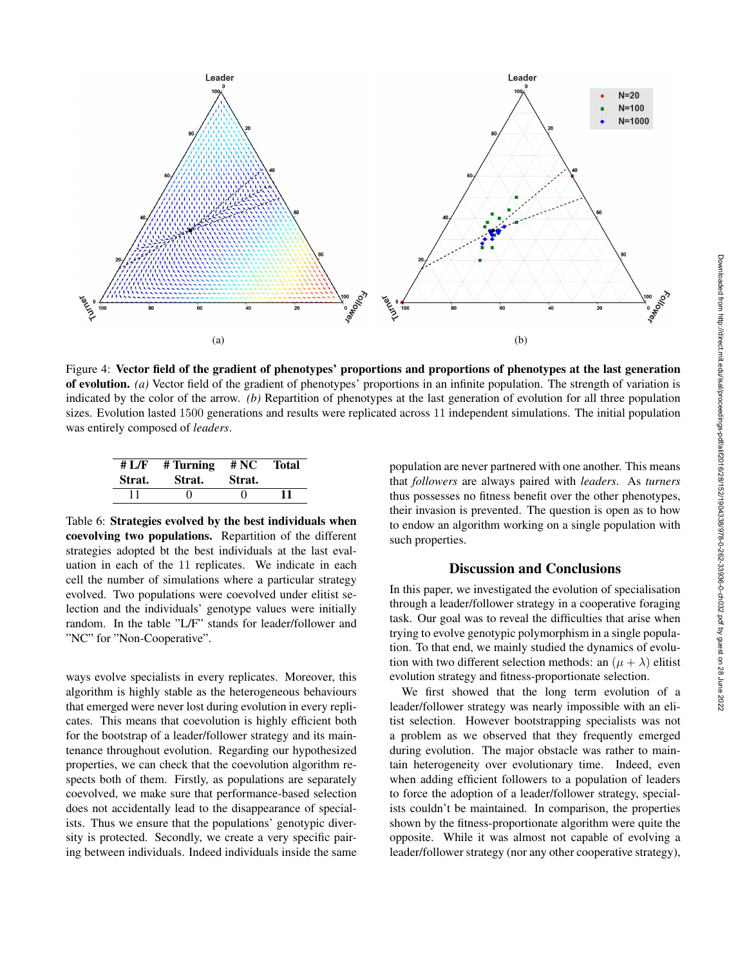<span id="page-6-0"></span>

Figure 4: Vector field of the gradient of phenotypes' proportions and proportions of phenotypes at the last generation of evolution. *(a)* Vector field of the gradient of phenotypes' proportions in an infinite population. The strength of variation is indicated by the color of the arrow. *(b)* Repartition of phenotypes at the last generation of evolution for all three population sizes. Evolution lasted 1500 generations and results were replicated across 11 independent simulations. The initial population was entirely composed of *leaders*.

| # L/F  | # Turning | # NC   | <b>Total</b> |
|--------|-----------|--------|--------------|
| Strat. | Strat.    | Strat. |              |
|        |           |        | 11           |

<span id="page-6-2"></span>Table 6: Strategies evolved by the best individuals when coevolving two populations. Repartition of the different strategies adopted bt the best individuals at the last evaluation in each of the 11 replicates. We indicate in each cell the number of simulations where a particular strategy evolved. Two populations were coevolved under elitist selection and the individuals' genotype values were initially random. In the table "L/F" stands for leader/follower and "NC" for "Non-Cooperative".

ways evolve specialists in every replicates. Moreover, this algorithm is highly stable as the heterogeneous behaviours that emerged were never lost during evolution in every replicates. This means that coevolution is highly efficient both for the bootstrap of a leader/follower strategy and its maintenance throughout evolution. Regarding our hypothesized properties, we can check that the coevolution algorithm respects both of them. Firstly, as populations are separately coevolved, we make sure that performance-based selection does not accidentally lead to the disappearance of specialists. Thus we ensure that the populations' genotypic diversity is protected. Secondly, we create a very specific pairing between individuals. Indeed individuals inside the same

<span id="page-6-1"></span>population are never partnered with one another. This means that *followers* are always paired with *leaders*. As *turners* thus possesses no fitness benefit over the other phenotypes, their invasion is prevented. The question is open as to how to endow an algorithm working on a single population with such properties.

### Discussion and Conclusions

In this paper, we investigated the evolution of specialisation through a leader/follower strategy in a cooperative foraging task. Our goal was to reveal the difficulties that arise when trying to evolve genotypic polymorphism in a single population. To that end, we mainly studied the dynamics of evolution with two different selection methods: an  $(\mu + \lambda)$  elitist evolution strategy and fitness-proportionate selection.

We first showed that the long term evolution of a leader/follower strategy was nearly impossible with an elitist selection. However bootstrapping specialists was not a problem as we observed that they frequently emerged during evolution. The major obstacle was rather to maintain heterogeneity over evolutionary time. Indeed, even when adding efficient followers to a population of leaders to force the adoption of a leader/follower strategy, specialists couldn't be maintained. In comparison, the properties shown by the fitness-proportionate algorithm were quite the opposite. While it was almost not capable of evolving a leader/follower strategy (nor any other cooperative strategy),